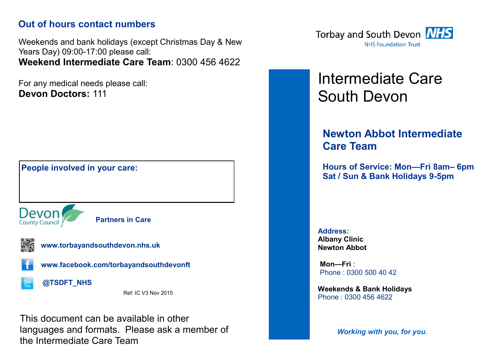### **Out of hours contact numbers**

Weekends and bank holidays (except Christmas Day & New Years Day) 09:00-17:00 please call: **Weekend Intermediate Care Team**: 0300 456 4622

For any medical needs please call: **Devon Doctors:** 111



This document can be available in other languages and formats. Please ask a member of the Intermediate Care Team



# Intermediate Care South Devon

## **Newton Abbot Intermediate Care Team**

**Hours of Service: Mon—Fri 8am– 6pm Sat / Sun & Bank Holidays 9-5pm**

**Address: Albany Clinic Newton Abbot**

**Mon—Fri** : Phone : 0300 500 40 42

**Weekends & Bank Holidays**  Phone : 0300 456 4622

*Working with you, for you.*